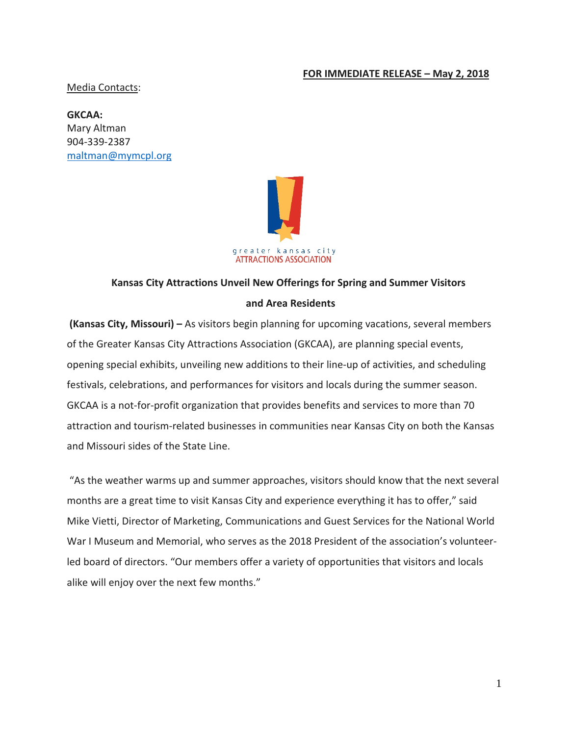#### **FOR IMMEDIATE RELEASE – May 2, 2018**

Media Contacts:

**GKCAA:**  Mary Altman 904-339-2387 [maltman@mymcpl.org](mailto:maltman@mymcpl.org)



# **Kansas City Attractions Unveil New Offerings for Spring and Summer Visitors and Area Residents**

**(Kansas City, Missouri) –** As visitors begin planning for upcoming vacations, several members of the Greater Kansas City Attractions Association (GKCAA), are planning special events, opening special exhibits, unveiling new additions to their line-up of activities, and scheduling festivals, celebrations, and performances for visitors and locals during the summer season. GKCAA is a not-for-profit organization that provides benefits and services to more than 70 attraction and tourism-related businesses in communities near Kansas City on both the Kansas and Missouri sides of the State Line.

"As the weather warms up and summer approaches, visitors should know that the next several months are a great time to visit Kansas City and experience everything it has to offer," said Mike Vietti, Director of Marketing, Communications and Guest Services for the National World War I Museum and Memorial, who serves as the 2018 President of the association's volunteerled board of directors. "Our members offer a variety of opportunities that visitors and locals alike will enjoy over the next few months."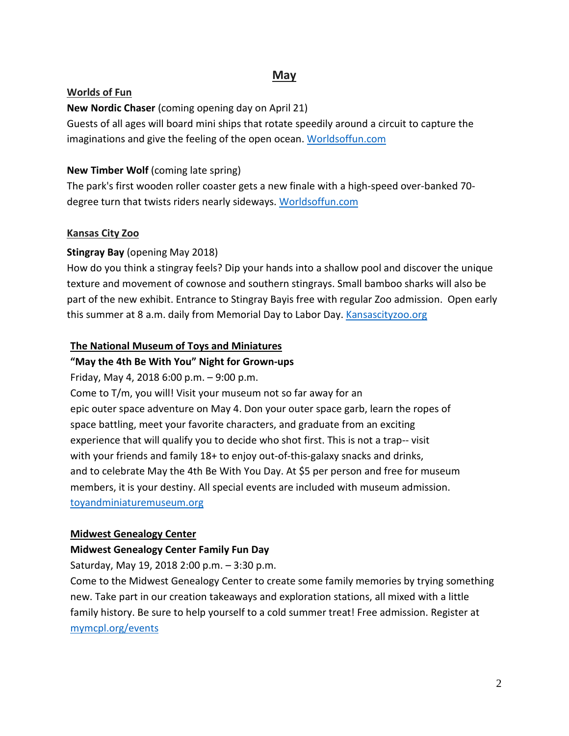# **May**

#### **Worlds of Fun**

**New Nordic Chaser** (coming opening day on April 21)

Guests of all ages will board mini ships that rotate speedily around a circuit to capture the imaginations and give the feeling of the open ocean. [Worldsoffun.com](http://www.worldsoffun.com/)

### **New Timber Wolf** (coming late spring)

The park's first wooden roller coaster gets a new finale with a high-speed over-banked 70 degree turn that twists riders nearly sideways. [Worldsoffun.com](http://www.worldsoffun.com/)

### **Kansas City Zoo**

### **Stingray Bay** (opening May 2018)

How do you think a stingray feels? Dip your hands into a shallow pool and discover the unique texture and movement of cownose and southern stingrays. Small bamboo sharks will also be part of the new exhibit. Entrance to Stingray Bayis free with regular Zoo admission. Open early this summer at 8 a.m. daily from Memorial Day to Labor Day. [Kansascityzoo.org](https://www.kansascityzoo.org/)

### **The National Museum of Toys and Miniatures**

## **"May the 4th Be With You" Night for Grown-ups**

Friday, May 4, 2018 6:00 p.m. – 9:00 p.m. Come to T/m, you will! Visit your museum not so far away for an epic outer space adventure on May 4. Don your outer space garb, learn the ropes of space battling, meet your favorite characters, and graduate from an exciting experience that will qualify you to decide who shot first. This is not a trap-- visit with your friends and family 18+ to enjoy out-of-this-galaxy snacks and drinks, and to celebrate May the 4th Be With You Day. At \$5 per person and free for museum members, it is your destiny. All special events are included with museum admission. [toyandminiaturemuseum.org](http://www.toyandminiaturemuseum.org/)

### **Midwest Genealogy Center**

### **Midwest Genealogy Center Family Fun Day**

Saturday, May 19, 2018 2:00 p.m. – 3:30 p.m.

Come to the Midwest Genealogy Center to create some family memories by trying something new. Take part in our creation takeaways and exploration stations, all mixed with a little family history. Be sure to help yourself to a cold summer treat! Free admission. Register at [mymcpl.org/events](https://www.mymcpl.org/events/27359/family-fun-mgc)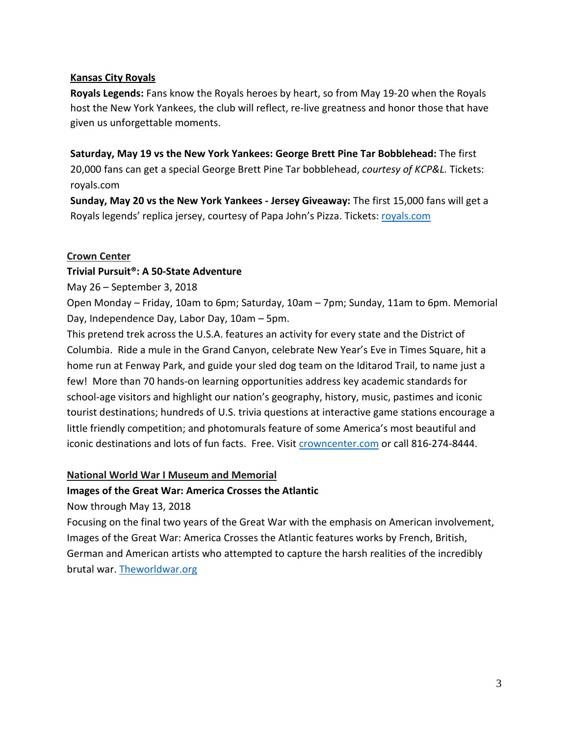#### **Kansas City Royals**

**Royals Legends:** Fans know the Royals heroes by heart, so from May 19-20 when the Royals host the New York Yankees, the club will reflect, re-live greatness and honor those that have given us unforgettable moments.

**Saturday, May 19 vs the New York Yankees: George Brett Pine Tar Bobblehead:** The first 20,000 fans can get a special George Brett Pine Tar bobblehead, *courtesy of KCP&L.* Tickets: royals.com

**Sunday, May 20 vs the New York Yankees - Jersey Giveaway:** The first 15,000 fans will get a Royals legends' replica jersey, courtesy of Papa John's Pizza. Tickets: [royals.com](https://www.mlb.com/royals)

#### **Crown Center**

#### **Trivial Pursuit®: A 50-State Adventure**

May 26 – September 3, 2018

Open Monday – Friday, 10am to 6pm; Saturday, 10am – 7pm; Sunday, 11am to 6pm. Memorial Day, Independence Day, Labor Day, 10am – 5pm.

This pretend trek across the U.S.A. features an activity for every state and the District of Columbia. Ride a mule in the Grand Canyon, celebrate New Year's Eve in Times Square, hit a home run at Fenway Park, and guide your sled dog team on the Iditarod Trail, to name just a few! More than 70 hands-on learning opportunities address key academic standards for school-age visitors and highlight our nation's geography, history, music, pastimes and iconic tourist destinations; hundreds of U.S. trivia questions at interactive game stations encourage a little friendly competition; and photomurals feature of some America's most beautiful and iconic destinations and lots of fun facts. Free. Visi[t crowncenter.com](https://www.crowncenter.com/) or call 816-274-8444.

#### **National World War I Museum and Memorial**

### **Images of the Great War: America Crosses the Atlantic**

Now through May 13, 2018

Focusing on the final two years of the Great War with the emphasis on American involvement, Images of the Great War: America Crosses the Atlantic features works by French, British, German and American artists who attempted to capture the harsh realities of the incredibly brutal war. [Theworldwar.org](https://www.theworldwar.org/)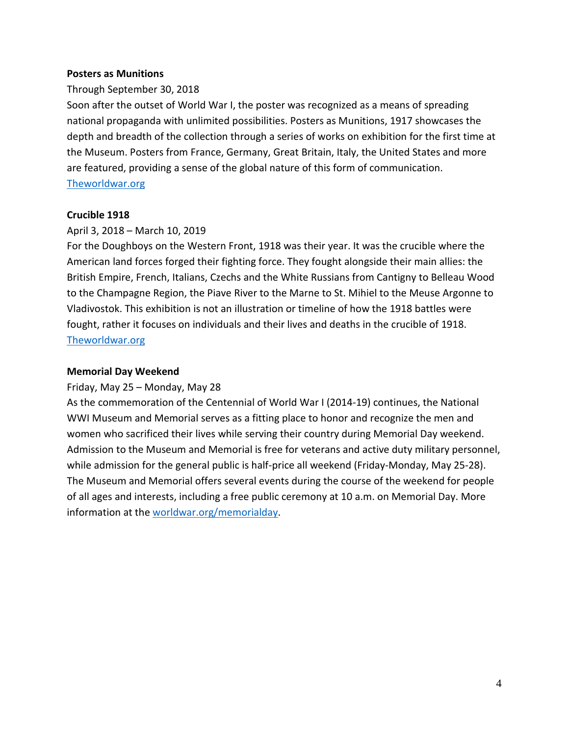#### **Posters as Munitions**

#### Through September 30, 2018

Soon after the outset of World War I, the poster was recognized as a means of spreading national propaganda with unlimited possibilities. Posters as Munitions, 1917 showcases the depth and breadth of the collection through a series of works on exhibition for the first time at the Museum. Posters from France, Germany, Great Britain, Italy, the United States and more are featured, providing a sense of the global nature of this form of communication. [Theworldwar.org](https://www.theworldwar.org/)

#### **Crucible 1918**

#### April 3, 2018 – March 10, 2019

For the Doughboys on the Western Front, 1918 was their year. It was the crucible where the American land forces forged their fighting force. They fought alongside their main allies: the British Empire, French, Italians, Czechs and the White Russians from Cantigny to Belleau Wood to the Champagne Region, the Piave River to the Marne to St. Mihiel to the Meuse Argonne to Vladivostok. This exhibition is not an illustration or timeline of how the 1918 battles were fought, rather it focuses on individuals and their lives and deaths in the crucible of 1918. [Theworldwar.org](https://www.theworldwar.org/)

#### **Memorial Day Weekend**

#### Friday, May 25 – Monday, May 28

As the commemoration of the Centennial of World War I (2014-19) continues, the National WWI Museum and Memorial serves as a fitting place to honor and recognize the men and women who sacrificed their lives while serving their country during Memorial Day weekend. Admission to the Museum and Memorial is free for veterans and active duty military personnel, while admission for the general public is half-price all weekend (Friday-Monday, May 25-28). The Museum and Memorial offers several events during the course of the weekend for people of all ages and interests, including a free public ceremony at 10 a.m. on Memorial Day. More information at the [worldwar.org/memorialday.](https://www.theworldwar.org/memorialday)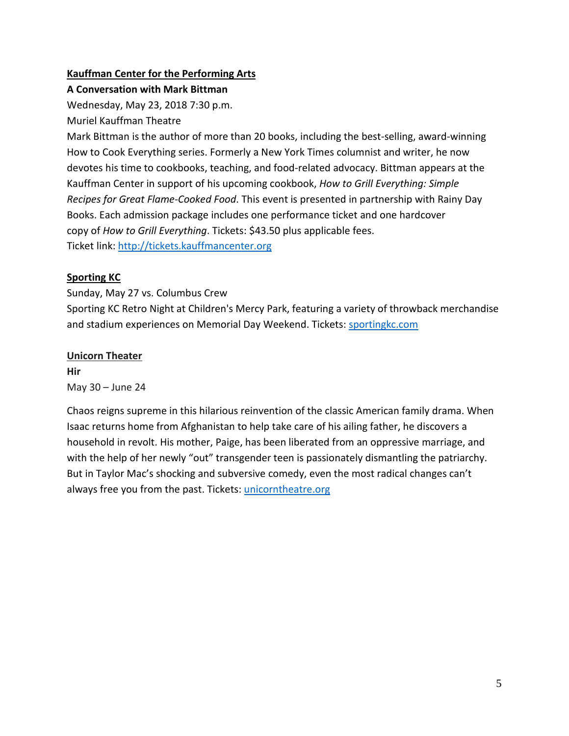## **Kauffman Center for the Performing Arts**

**A Conversation with Mark Bittman**

Wednesday, May 23, 2018 7:30 p.m.

Muriel Kauffman Theatre

Mark Bittman is the author of more than 20 books, including the best-selling, award-winning How to Cook Everything series. Formerly a New York Times columnist and writer, he now devotes his time to cookbooks, teaching, and food-related advocacy. Bittman appears at the Kauffman Center in support of his upcoming cookbook, *How to Grill Everything: Simple Recipes for Great Flame-Cooked Food*. This event is presented in partnership with Rainy Day Books. Each admission package includes one performance ticket and one hardcover copy of *How to Grill Everything*. Tickets: \$43.50 plus applicable fees. Ticket link: [http://tickets.kauffmancenter.org](http://tickets.kauffmancenter.org/) 

# **Sporting KC**

Sunday, May 27 vs. Columbus Crew

Sporting KC Retro Night at Children's Mercy Park, featuring a variety of throwback merchandise and stadium experiences on Memorial Day Weekend. Tickets: [sportingkc.com](https://www.sportingkc.com/)

# **Unicorn Theater**

**Hir** May 30 – June 24

Chaos reigns supreme in this hilarious reinvention of the classic American family drama. When Isaac returns home from Afghanistan to help take care of his ailing father, he discovers a household in revolt. His mother, Paige, has been liberated from an oppressive marriage, and with the help of her newly "out" transgender teen is passionately dismantling the patriarchy. But in Taylor Mac's shocking and subversive comedy, even the most radical changes can't always free you from the past. Tickets[: unicorntheatre.org](http://www.unicorntheatre.org/)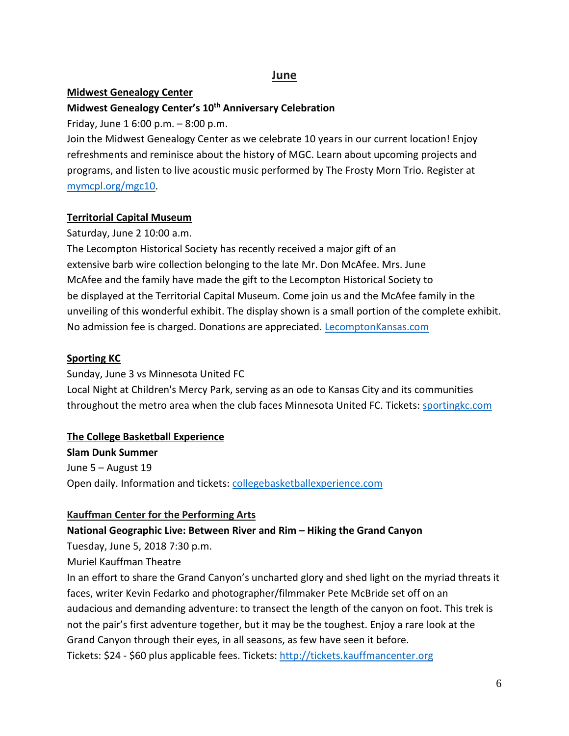# **June**

#### **Midwest Genealogy Center**

### **Midwest Genealogy Center's 10th Anniversary Celebration**

Friday, June 1 6:00 p.m. – 8:00 p.m.

Join the Midwest Genealogy Center as we celebrate 10 years in our current location! Enjoy refreshments and reminisce about the history of MGC. Learn about upcoming projects and programs, and listen to live acoustic music performed by The Frosty Morn Trio. Register at [mymcpl.org/mgc10.](https://www.mymcpl.org/events/mgc10)

#### **Territorial Capital Museum**

Saturday, June 2 10:00 a.m.

The Lecompton Historical Society has recently received a major gift of an extensive barb wire collection belonging to the late Mr. Don McAfee. Mrs. June McAfee and the family have made the gift to the Lecompton Historical Society to be displayed at the Territorial Capital Museum. Come join us and the McAfee family in the unveiling of this wonderful exhibit. The display shown is a small portion of the complete exhibit. No admission fee is charged. Donations are appreciated. [LecomptonKansas.com](http://www.lecomptonkansas.com/)

#### **Sporting KC**

Sunday, June 3 vs Minnesota United FC Local Night at Children's Mercy Park, serving as an ode to Kansas City and its communities throughout the metro area when the club faces Minnesota United FC. Tickets: [sportingkc.com](https://www.sportingkc.com/)

### **The College Basketball Experience**

**Slam Dunk Summer** June 5 – August 19 Open daily. Information and tickets: [collegebasketballexperience.com](https://collegebasketballexperience.com/)

#### **Kauffman Center for the Performing Arts**

### **National Geographic Live: Between River and Rim – Hiking the Grand Canyon**

Tuesday, June 5, 2018 7:30 p.m.

Muriel Kauffman Theatre

In an effort to share the Grand Canyon's uncharted glory and shed light on the myriad threats it faces, writer Kevin Fedarko and photographer/filmmaker Pete McBride set off on an audacious and demanding adventure: to transect the length of the canyon on foot. This trek is not the pair's first adventure together, but it may be the toughest. Enjoy a rare look at the Grand Canyon through their eyes, in all seasons, as few have seen it before. Tickets: \$24 - \$60 plus applicable fees. Tickets: [http://tickets.kauffmancenter.org](http://tickets.kauffmancenter.org/)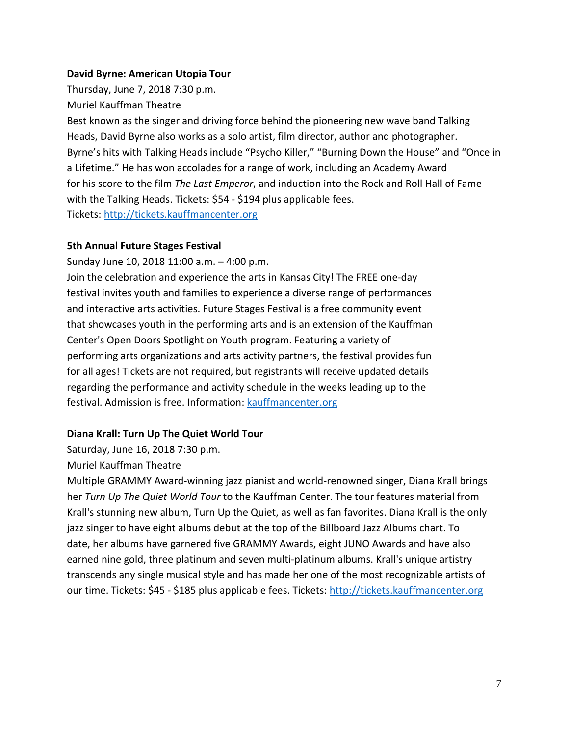#### **David Byrne: American Utopia Tour**

Thursday, June 7, 2018 7:30 p.m.

Muriel Kauffman Theatre

Best known as the singer and driving force behind the pioneering new wave band Talking Heads, David Byrne also works as a solo artist, film director, author and photographer. Byrne's hits with Talking Heads include "Psycho Killer," "Burning Down the House" and "Once in a Lifetime." He has won accolades for a range of work, including an Academy Award for his score to the film *The Last Emperor*, and induction into the Rock and Roll Hall of Fame with the Talking Heads. Tickets: \$54 - \$194 plus applicable fees. Tickets[: http://tickets.kauffmancenter.org](http://tickets.kauffmancenter.org/)

#### **5th Annual Future Stages Festival**

Sunday June 10, 2018 11:00 a.m. – 4:00 p.m. Join the celebration and experience the arts in Kansas City! The FREE one-day festival invites youth and families to experience a diverse range of performances and interactive arts activities. Future Stages Festival is a free community event that showcases youth in the performing arts and is an extension of the Kauffman Center's Open Doors Spotlight on Youth program. Featuring a variety of performing arts organizations and arts activity partners, the festival provides fun for all ages! Tickets are not required, but registrants will receive updated details regarding the performance and activity schedule in the weeks leading up to the festival. Admission is free. Information[: kauffmancenter.org](http://www.kauffmancenter.org/)

### **Diana Krall: Turn Up The Quiet World Tour**

Saturday, June 16, 2018 7:30 p.m.

Muriel Kauffman Theatre

Multiple GRAMMY Award-winning jazz pianist and world-renowned singer, Diana Krall brings her *Turn Up The Quiet World Tour* to the Kauffman Center. The tour features material from Krall's stunning new album, Turn Up the Quiet, as well as fan favorites. Diana Krall is the only jazz singer to have eight albums debut at the top of the Billboard Jazz Albums chart. To date, her albums have garnered five GRAMMY Awards, eight JUNO Awards and have also earned nine gold, three platinum and seven multi-platinum albums. Krall's unique artistry transcends any single musical style and has made her one of the most recognizable artists of our time. Tickets: \$45 - \$185 plus applicable fees. Tickets: [http://tickets.kauffmancenter.org](http://tickets.kauffmancenter.org/)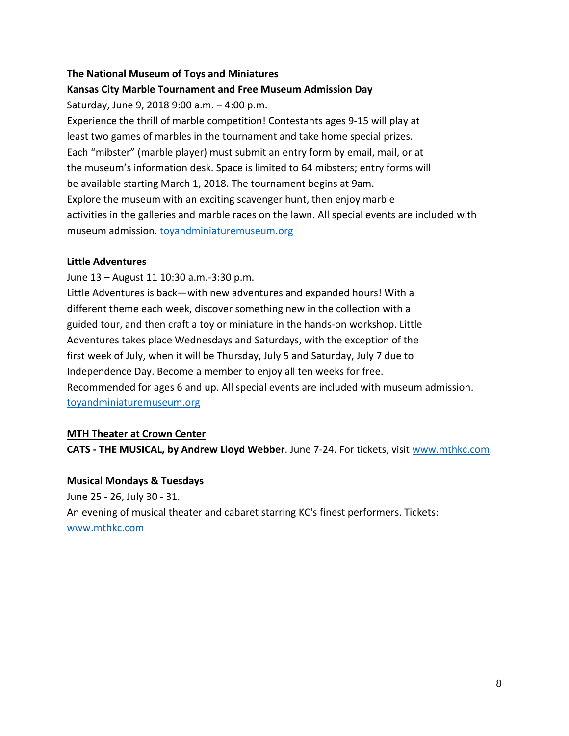### **The National Museum of Toys and Miniatures**

#### **Kansas City Marble Tournament and Free Museum Admission Day**

Saturday, June 9, 2018 9:00 a.m. – 4:00 p.m.

Experience the thrill of marble competition! Contestants ages 9-15 will play at least two games of marbles in the tournament and take home special prizes. Each "mibster" (marble player) must submit an entry form by email, mail, or at the museum's information desk. Space is limited to 64 mibsters; entry forms will be available starting March 1, 2018. The tournament begins at 9am. Explore the museum with an exciting scavenger hunt, then enjoy marble activities in the galleries and marble races on the lawn. All special events are included with museum admission. [toyandminiaturemuseum.org](http://www.toyandminiaturemuseum.org/)

#### **Little Adventures**

June 13 – August 11 10:30 a.m.-3:30 p.m.

Little Adventures is back—with new adventures and expanded hours! With a different theme each week, discover something new in the collection with a guided tour, and then craft a toy or miniature in the hands-on workshop. Little Adventures takes place Wednesdays and Saturdays, with the exception of the first week of July, when it will be Thursday, July 5 and Saturday, July 7 due to Independence Day. Become a member to enjoy all ten weeks for free. Recommended for ages 6 and up. All special events are included with museum admission. [toyandminiaturemuseum.org](http://www.toyandminiaturemuseum.org/)

#### **MTH Theater at Crown Center**

**CATS - THE MUSICAL, by Andrew Lloyd Webber**. June 7-24. For tickets, visit [www.mthkc.com](http://www.mthkc.com/)

#### **Musical Mondays & Tuesdays**

June 25 - 26, July 30 - 31. An evening of musical theater and cabaret starring KC's finest performers. Tickets: [www.mthkc.com](http://www.mthkc.com/)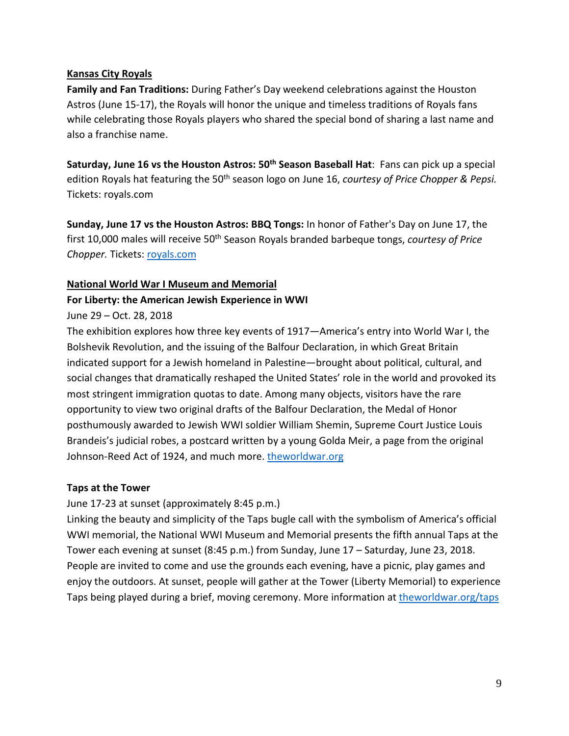### **Kansas City Royals**

**Family and Fan Traditions:** During Father's Day weekend celebrations against the Houston Astros (June 15-17), the Royals will honor the unique and timeless traditions of Royals fans while celebrating those Royals players who shared the special bond of sharing a last name and also a franchise name.

**Saturday, June 16 vs the Houston Astros: 50th Season Baseball Hat**: Fans can pick up a special edition Royals hat featuring the 50<sup>th</sup> season logo on June 16, *courtesy of Price Chopper & Pepsi.* Tickets: royals.com

**Sunday, June 17 vs the Houston Astros: BBQ Tongs:** In honor of Father's Day on June 17, the first 10,000 males will receive 50<sup>th</sup> Season Royals branded barbeque tongs, *courtesy of Price Chopper.* Tickets: [royals.com](https://www.mlb.com/royals)

#### **National World War I Museum and Memorial**

#### **For Liberty: the American Jewish Experience in WWI**

#### June 29 – Oct. 28, 2018

The exhibition explores how three key events of 1917—America's entry into World War I, the Bolshevik Revolution, and the issuing of the Balfour Declaration, in which Great Britain indicated support for a Jewish homeland in Palestine—brought about political, cultural, and social changes that dramatically reshaped the United States' role in the world and provoked its most stringent immigration quotas to date. Among many objects, visitors have the rare opportunity to view two original drafts of the Balfour Declaration, the Medal of Honor posthumously awarded to Jewish WWI soldier William Shemin, Supreme Court Justice Louis Brandeis's judicial robes, a postcard written by a young Golda Meir, a page from the original Johnson-Reed Act of 1924, and much more. [theworldwar.org](https://www.theworldwar.org/)

#### **Taps at the Tower**

June 17-23 at sunset (approximately 8:45 p.m.)

Linking the beauty and simplicity of the Taps bugle call with the symbolism of America's official WWI memorial, the National WWI Museum and Memorial presents the fifth annual Taps at the Tower each evening at sunset (8:45 p.m.) from Sunday, June 17 – Saturday, June 23, 2018. People are invited to come and use the grounds each evening, have a picnic, play games and enjoy the outdoors. At sunset, people will gather at the Tower (Liberty Memorial) to experience Taps being played during a brief, moving ceremony. More information at [theworldwar.org/taps](https://www.theworldwar.org/taps)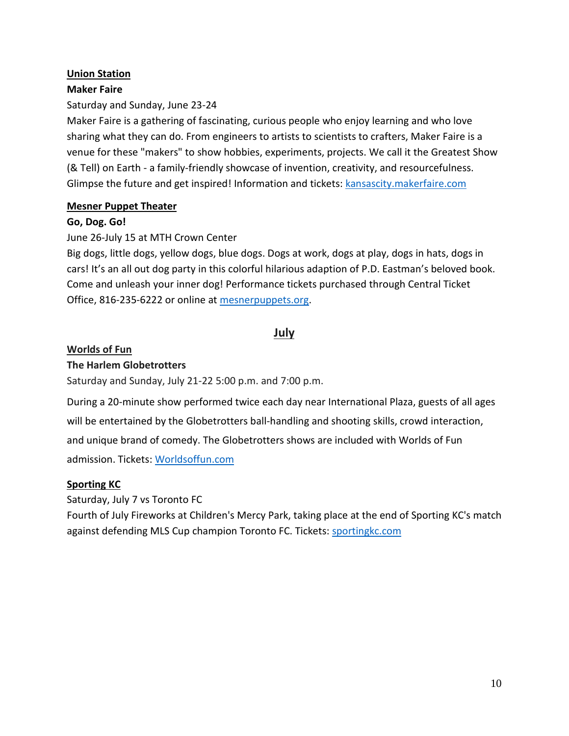### **Union Station**

### **Maker Faire**

### Saturday and Sunday, June 23-24

Maker Faire is a gathering of fascinating, curious people who enjoy learning and who love sharing what they can do. From engineers to artists to scientists to crafters, Maker Faire is a venue for these "makers" to show hobbies, experiments, projects. We call it the Greatest Show (& Tell) on Earth - a family-friendly showcase of invention, creativity, and resourcefulness. Glimpse the future and get inspired! Information and tickets: [kansascity.makerfaire.com](http://kansascity.makerfaire.com/)

#### **Mesner Puppet Theater**

### **Go, Dog. Go!**

# June 26-July 15 at MTH Crown Center

Big dogs, little dogs, yellow dogs, blue dogs. Dogs at work, dogs at play, dogs in hats, dogs in cars! It's an all out dog party in this colorful hilarious adaption of P.D. Eastman's beloved book. Come and unleash your inner dog! Performance tickets purchased through Central Ticket Office, 816-235-6222 or online at [mesnerpuppets.org.](http://mesnerpuppets.org/)

# **July**

# **Worlds of Fun**

### **The Harlem Globetrotters**

Saturday and Sunday, July 21-22 5:00 p.m. and 7:00 p.m.

During a 20-minute show performed twice each day near International Plaza, guests of all ages will be entertained by the Globetrotters ball-handling and shooting skills, crowd interaction, and unique brand of comedy. The Globetrotters shows are included with Worlds of Fun admission. Tickets[: Worldsoffun.com](http://www.worldsoffun.com/)

### **Sporting KC**

Saturday, July 7 vs Toronto FC

Fourth of July Fireworks at Children's Mercy Park, taking place at the end of Sporting KC's match against defending MLS Cup champion Toronto FC. Tickets: [sportingkc.com](https://www.sportingkc.com/)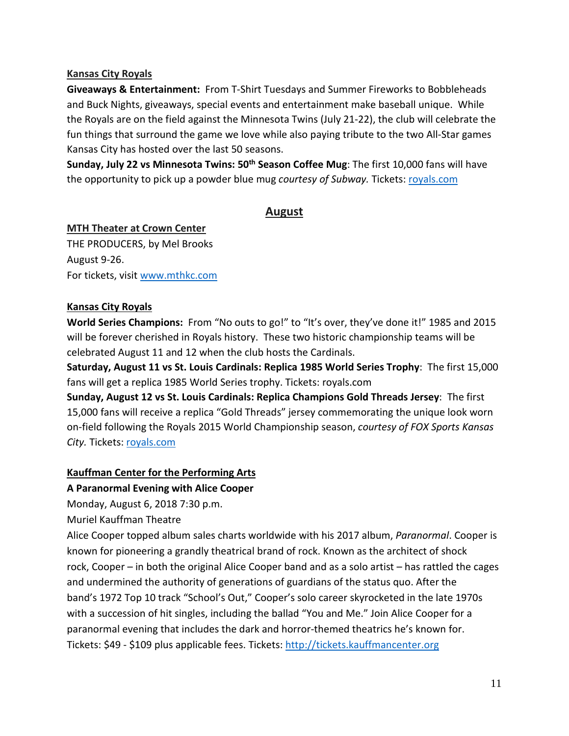### **Kansas City Royals**

**Giveaways & Entertainment:** From T-Shirt Tuesdays and Summer Fireworks to Bobbleheads and Buck Nights, giveaways, special events and entertainment make baseball unique. While the Royals are on the field against the Minnesota Twins (July 21-22), the club will celebrate the fun things that surround the game we love while also paying tribute to the two All-Star games Kansas City has hosted over the last 50 seasons.

**Sunday, July 22 vs Minnesota Twins: 50<sup>th</sup> Season Coffee Mug**: The first 10,000 fans will have the opportunity to pick up a powder blue mug *courtesy of Subway*. Tickets[: royals.com](https://www.mlb.com/royals)

# **August**

#### **MTH Theater at Crown Center**

THE PRODUCERS, by Mel Brooks August 9-26. For tickets, visit [www.mthkc.com](http://www.mthkc.com/)

#### **Kansas City Royals**

**World Series Champions:** From "No outs to go!" to "It's over, they've done it!" 1985 and 2015 will be forever cherished in Royals history. These two historic championship teams will be celebrated August 11 and 12 when the club hosts the Cardinals.

**Saturday, August 11 vs St. Louis Cardinals: Replica 1985 World Series Trophy**: The first 15,000 fans will get a replica 1985 World Series trophy. Tickets: royals.com

**Sunday, August 12 vs St. Louis Cardinals: Replica Champions Gold Threads Jersey**: The first 15,000 fans will receive a replica "Gold Threads" jersey commemorating the unique look worn on-field following the Royals 2015 World Championship season, *courtesy of FOX Sports Kansas City.* Tickets: [royals.com](https://www.mlb.com/royals)

### **Kauffman Center for the Performing Arts**

#### **A Paranormal Evening with Alice Cooper**

Monday, August 6, 2018 7:30 p.m.

Muriel Kauffman Theatre

Alice Cooper topped album sales charts worldwide with his 2017 album, *Paranormal*. Cooper is known for pioneering a grandly theatrical brand of rock. Known as the architect of shock rock, Cooper – in both the original Alice Cooper band and as a solo artist – has rattled the cages and undermined the authority of generations of guardians of the status quo. After the band's 1972 Top 10 track "School's Out," Cooper's solo career skyrocketed in the late 1970s with a succession of hit singles, including the ballad "You and Me." Join Alice Cooper for a paranormal evening that includes the dark and horror-themed theatrics he's known for. Tickets: \$49 - \$109 plus applicable fees. Tickets: [http://tickets.kauffmancenter.org](http://tickets.kauffmancenter.org/)